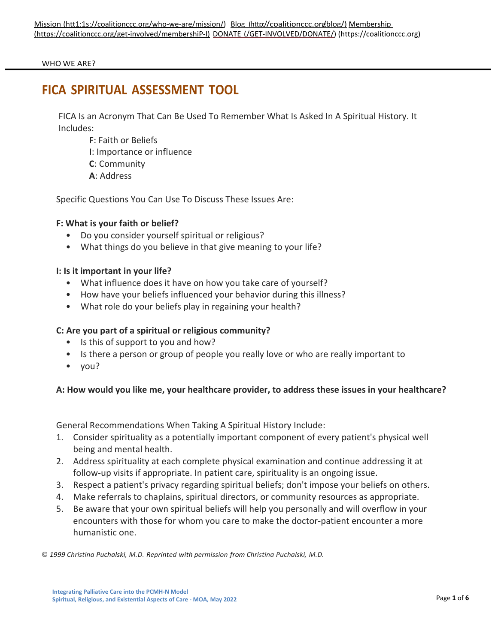WHO WE ARE?

# **FICA SPIRITUAL ASSESSMENT TOOL**

FICA Is an Acronym That Can Be Used To Remember What Is Asked In A Spiritual History. It Includes:

- **F**: Faith or Beliefs **I**: Importance or influence
- **C**: Community
- **A**: Address

Specific Questions You Can Use To Discuss These Issues Are:

#### **F: What is your faith or belief?**

- Do you consider yourself spiritual or religious?
- What things do you believe in that give meaning to your life?

#### **I: Is it important in your life?**

- What influence does it have on how you take care of yourself?
- How have your beliefs influenced your behavior during this illness?
- What role do your beliefs play in regaining your health?

### **C: Are you part of a spiritual or religious community?**

- Is this of support to you and how?
- Is there a person or group of people you really love or who are really important to
- you?

### **A: How would you like me, your healthcare provider, to address these issues in your healthcare?**

General Recommendations When Taking A Spiritual History Include:

- 1. Consider spirituality as a potentially important component of every patient's physical well being and mental health.
- 2. Address spirituality at each complete physical examination and continue addressing it at follow-up visits if appropriate. In patient care, spirituality is an ongoing issue.
- 3. Respect a patient's privacy regarding spiritual beliefs; don't impose your beliefs on others.
- 4. Make referrals to chaplains, spiritual directors, or community resources as appropriate.
- 5. Be aware that your own spiritual beliefs will help you personally and will overflow in your encounters with those for whom you care to make the doctor-patient encounter a more humanistic one.

© *1999 Christina Puchalski, M.D. Reprinted with permission from Christina Puchalski, M.D.*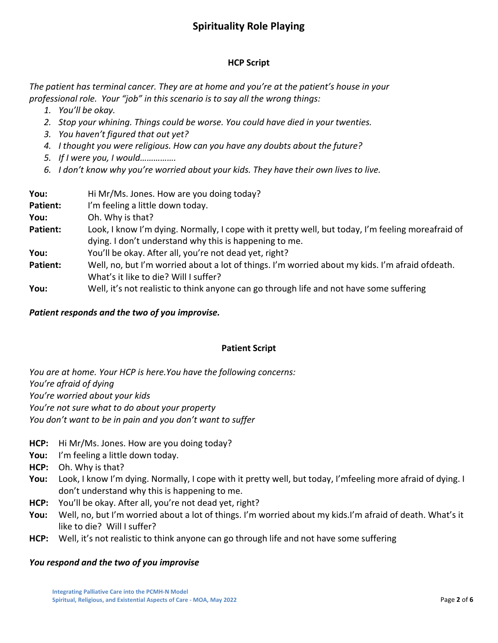# **Spirituality Role Playing**

## **HCP Script**

*The patient has terminal cancer. They are at home and you're at the patient's house in your professional role. Your "job" in this scenario is to say all the wrong things:*

- *1. You'll be okay.*
- *2. Stop your whining. Things could be worse. You could have died in your twenties.*
- *3. You haven't figured that out yet?*
- *4. I thought you were religious. How can you have any doubts about the future?*
- *5. If I were you, I would…………….*
- *6. I don't know why you're worried about your kids. They have their own lives to live.*

| You:     | Hi Mr/Ms. Jones. How are you doing today?                                                                                                                    |
|----------|--------------------------------------------------------------------------------------------------------------------------------------------------------------|
| Patient: | I'm feeling a little down today.                                                                                                                             |
| You:     | Oh. Why is that?                                                                                                                                             |
| Patient: | Look, I know I'm dying. Normally, I cope with it pretty well, but today, I'm feeling moreafraid of<br>dying. I don't understand why this is happening to me. |
| You:     | You'll be okay. After all, you're not dead yet, right?                                                                                                       |
| Patient: | Well, no, but I'm worried about a lot of things. I'm worried about my kids. I'm afraid ofdeath.<br>What's it like to die? Will I suffer?                     |
| You:     | Well, it's not realistic to think anyone can go through life and not have some suffering                                                                     |

## *Patient responds and the two of you improvise.*

## **Patient Script**

*You are at home. Your HCP is here.You have the following concerns: You're afraid of dying You're worried about your kids You're not sure what to do about your property You don't want to be in pain and you don't want to suffer*

- **HCP:** Hi Mr/Ms. Jones. How are you doing today?
- **You:** I'm feeling a little down today.
- **HCP:** Oh. Why is that?
- **You:** Look, I know I'm dying. Normally, I cope with it pretty well, but today, I'mfeeling more afraid of dying. I don't understand why this is happening to me.
- **HCP:** You'll be okay. After all, you're not dead yet, right?
- **You:** Well, no, but I'm worried about a lot of things. I'm worried about my kids.I'm afraid of death. What's it like to die? Will I suffer?
- **HCP:** Well, it's not realistic to think anyone can go through life and not have some suffering

## *You respond and the two of you improvise*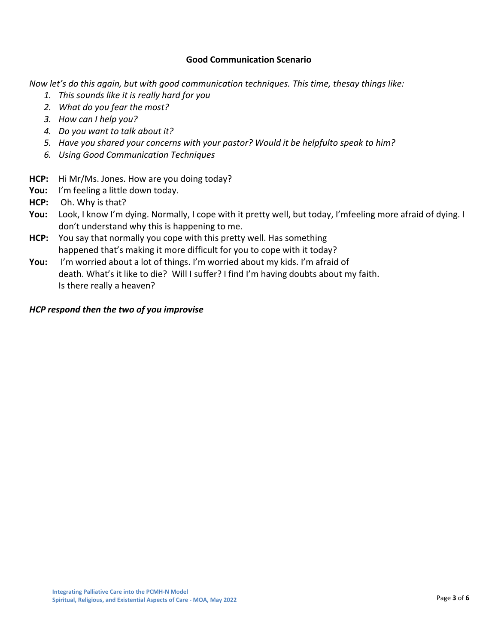## **Good Communication Scenario**

*Now let's do this again, but with good communication techniques. This time, thesay things like:*

- *1. This sounds like it is really hard for you*
- *2. What do you fear the most?*
- *3. How can I help you?*
- *4. Do you want to talk about it?*
- *5. Have you shared your concerns with your pastor? Would it be helpfulto speak to him?*
- *6. Using Good Communication Techniques*
- **HCP:** Hi Mr/Ms. Jones. How are you doing today?
- **You:** I'm feeling a little down today.
- **HCP:** Oh. Why is that?
- **You:** Look, I know I'm dying. Normally, I cope with it pretty well, but today, I'mfeeling more afraid of dying. I don't understand why this is happening to me.
- **HCP:** You say that normally you cope with this pretty well. Has something happened that's making it more difficult for you to cope with it today?
- **You:** I'm worried about a lot of things. I'm worried about my kids. I'm afraid of death. What's it like to die? Will I suffer? I find I'm having doubts about my faith. Is there really a heaven?

### *HCP respond then the two of you improvise*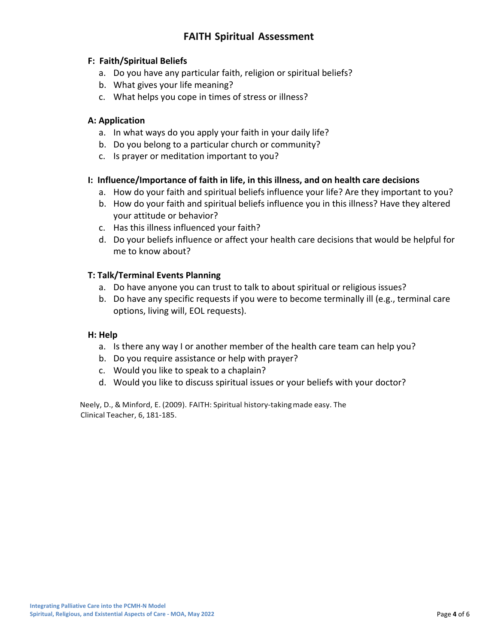## **FAITH Spiritual Assessment**

## **F: Faith/Spiritual Beliefs**

- a. Do you have any particular faith, religion or spiritual beliefs?
- b. What gives your life meaning?
- c. What helps you cope in times of stress or illness?

## **A: Application**

- a. In what ways do you apply your faith in your daily life?
- b. Do you belong to a particular church or community?
- c. Is prayer or meditation important to you?

## **I: Influence/Importance of faith in life, in this illness, and on health care decisions**

- a. How do your faith and spiritual beliefs influence your life? Are they important to you?
- b. How do your faith and spiritual beliefs influence you in this illness? Have they altered your attitude or behavior?
- c. Has this illness influenced your faith?
- d. Do your beliefs influence or affect your health care decisions that would be helpful for me to know about?

## **T: Talk/Terminal Events Planning**

- a. Do have anyone you can trust to talk to about spiritual or religious issues?
- b. Do have any specific requests if you were to become terminally ill (e.g., terminal care options, living will, EOL requests).

### **H: Help**

- a. Is there any way I or another member of the health care team can help you?
- b. Do you require assistance or help with prayer?
- c. Would you like to speak to a chaplain?
- d. Would you like to discuss spiritual issues or your beliefs with your doctor?

Neely, D., & Minford, E. (2009). FAITH: Spiritual history-takingmade easy. The Clinical Teacher, 6, 181-185.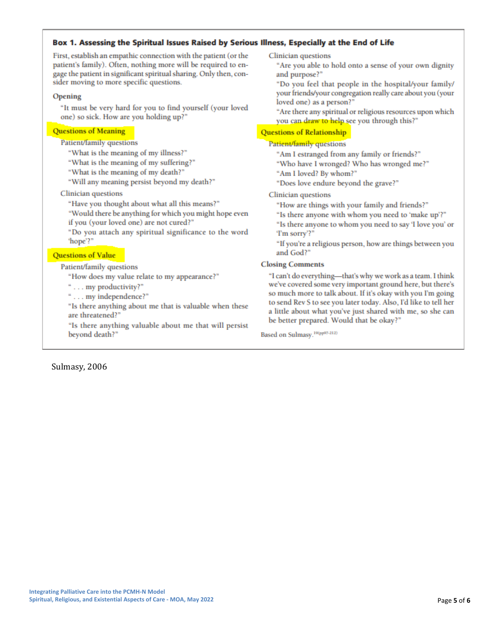#### Box 1. Assessing the Spiritual Issues Raised by Serious Illness, Especially at the End of Life

First, establish an empathic connection with the patient (or the patient's family). Often, nothing more will be required to engage the patient in significant spiritual sharing. Only then, consider moving to more specific questions.

#### Opening

"It must be very hard for you to find yourself (your loved one) so sick. How are you holding up?"

#### **Questions of Meaning**

Patient/family questions

"What is the meaning of my illness?"

"What is the meaning of my suffering?"

"What is the meaning of my death?"

"Will any meaning persist beyond my death?"

#### **Clinician** questions

"Have you thought about what all this means?"

"Would there be anything for which you might hope even if you (your loved one) are not cured?"

"Do you attach any spiritual significance to the word "hope'?"

#### **Questions of Value**

Patient/family questions

"How does my value relate to my appearance?"

" . . . my productivity?"

" . . . my independence?"

"Is there anything about me that is valuable when these are threatened?"

"Is there anything valuable about me that will persist beyond death?"

#### **Clinician questions**

- "Are you able to hold onto a sense of your own dignity and purpose?"
- "Do you feel that people in the hospital/your family/ your friends/your congregation really care about you (your loved one) as a person?"
- "Are there any spiritual or religious resources upon which
- you can draw to help see you through this?"

## **Questions of Relationship**

#### Patient/family questions

- "Am I estranged from any family or friends?"
- "Who have I wronged? Who has wronged me?"
- "Am I loved? By whom?"
- "Does love endure beyond the grave?"

#### Clinician questions

- "How are things with your family and friends?"
- "Is there anyone with whom you need to 'make up'?"

"Is there anyone to whom you need to say 'I love you' or 'I'm sorry'?"

"If you're a religious person, how are things between you and God?"

#### **Closing Comments**

"I can't do everything-that's why we work as a team. I think we've covered some very important ground here, but there's so much more to talk about. If it's okay with you I'm going to send Rev S to see you later today. Also, I'd like to tell her a little about what you've just shared with me, so she can be better prepared. Would that be okay?"

Based on Sulmasy.<sup>19(pp97-212)</sup>

#### Sulmasy, 2006